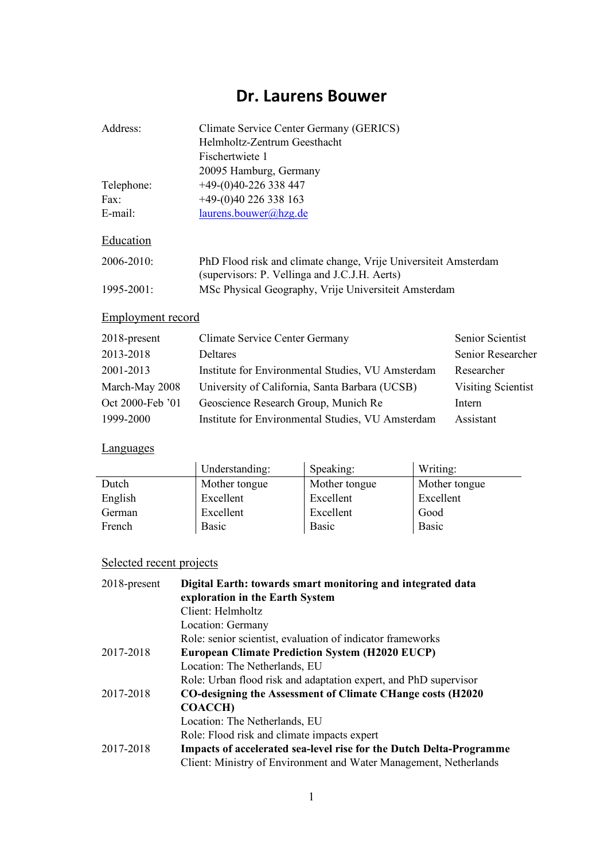## **Dr. Laurens Bouwer**

| Address:        | Climate Service Center Germany (GERICS)                                                                          |
|-----------------|------------------------------------------------------------------------------------------------------------------|
|                 | Helmholtz-Zentrum Geesthacht                                                                                     |
|                 | Fischertwiete 1                                                                                                  |
|                 | 20095 Hamburg, Germany                                                                                           |
| Telephone:      | $+49-(0)40-226338447$                                                                                            |
| Fax:            | $+49-(0)40$ 226 338 163                                                                                          |
| $E$ -mail:      | laurens.bouwer@hzg.de                                                                                            |
| Education       |                                                                                                                  |
| $2006 - 2010$   | PhD Flood risk and climate change, Vrije Universiteit Amsterdam<br>(supervisors: P. Vellinga and J.C.J.H. Aerts) |
| $1995 - 2001$ : | MSc Physical Geography, Vrije Universiteit Amsterdam                                                             |

### Employment record

| $2018$ -present  | <b>Climate Service Center Germany</b>             | Senior Scientist   |
|------------------|---------------------------------------------------|--------------------|
| 2013-2018        | Deltares                                          | Senior Researcher  |
| 2001-2013        | Institute for Environmental Studies, VU Amsterdam | Researcher         |
| March-May 2008   | University of California, Santa Barbara (UCSB)    | Visiting Scientist |
| Oct 2000-Feb '01 | Geoscience Research Group, Munich Re              | Intern             |
| 1999-2000        | Institute for Environmental Studies, VU Amsterdam | Assistant          |

### **Languages**

|         | Understanding: | Speaking:     | Writing:      |
|---------|----------------|---------------|---------------|
| Dutch   | Mother tongue  | Mother tongue | Mother tongue |
| English | Excellent      | Excellent     | Excellent     |
| German  | Excellent      | Excellent     | Good          |
| French  | <b>Basic</b>   | <b>Basic</b>  | <b>Basic</b>  |

# Selected recent projects

| 2018-present | Digital Earth: towards smart monitoring and integrated data<br>exploration in the Earth System |
|--------------|------------------------------------------------------------------------------------------------|
|              | Client: Helmholtz                                                                              |
|              | Location: Germany                                                                              |
|              | Role: senior scientist, evaluation of indicator frameworks                                     |
| 2017-2018    | <b>European Climate Prediction System (H2020 EUCP)</b>                                         |
|              | Location: The Netherlands, EU                                                                  |
|              | Role: Urban flood risk and adaptation expert, and PhD supervisor                               |
| 2017-2018    | CO-designing the Assessment of Climate CHange costs (H2020)                                    |
|              | <b>COACCH</b> )                                                                                |
|              | Location: The Netherlands, EU                                                                  |
|              | Role: Flood risk and climate impacts expert                                                    |
| 2017-2018    | Impacts of accelerated sea-level rise for the Dutch Delta-Programme                            |
|              | Client: Ministry of Environment and Water Management, Netherlands                              |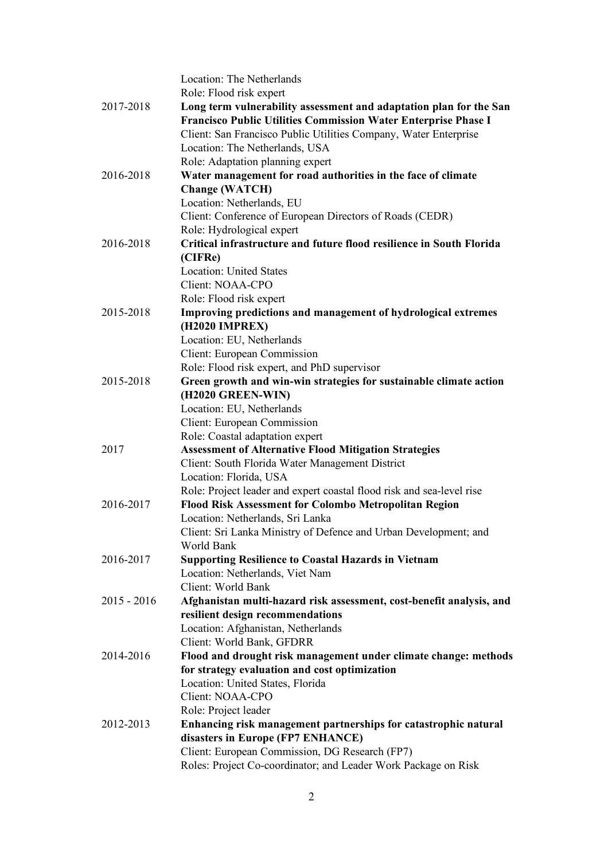|               | Location: The Netherlands                                             |
|---------------|-----------------------------------------------------------------------|
|               | Role: Flood risk expert                                               |
| 2017-2018     | Long term vulnerability assessment and adaptation plan for the San    |
|               | Francisco Public Utilities Commission Water Enterprise Phase I        |
|               | Client: San Francisco Public Utilities Company, Water Enterprise      |
|               | Location: The Netherlands, USA                                        |
|               | Role: Adaptation planning expert                                      |
| 2016-2018     | Water management for road authorities in the face of climate          |
|               | <b>Change (WATCH)</b>                                                 |
|               | Location: Netherlands, EU                                             |
|               | Client: Conference of European Directors of Roads (CEDR)              |
|               | Role: Hydrological expert                                             |
| 2016-2018     | Critical infrastructure and future flood resilience in South Florida  |
|               | (CIFRe)                                                               |
|               | <b>Location: United States</b>                                        |
|               | Client: NOAA-CPO                                                      |
|               | Role: Flood risk expert                                               |
| 2015-2018     | Improving predictions and management of hydrological extremes         |
|               | (H2020 IMPREX)                                                        |
|               | Location: EU, Netherlands                                             |
|               | Client: European Commission                                           |
|               | Role: Flood risk expert, and PhD supervisor                           |
| 2015-2018     | Green growth and win-win strategies for sustainable climate action    |
|               | (H2020 GREEN-WIN)                                                     |
|               | Location: EU, Netherlands                                             |
|               | Client: European Commission                                           |
|               | Role: Coastal adaptation expert                                       |
| 2017          | <b>Assessment of Alternative Flood Mitigation Strategies</b>          |
|               | Client: South Florida Water Management District                       |
|               | Location: Florida, USA                                                |
|               | Role: Project leader and expert coastal flood risk and sea-level rise |
| 2016-2017     | Flood Risk Assessment for Colombo Metropolitan Region                 |
|               | Location: Netherlands, Sri Lanka                                      |
|               | Client: Sri Lanka Ministry of Defence and Urban Development; and      |
|               | World Bank                                                            |
| 2016-2017     | <b>Supporting Resilience to Coastal Hazards in Vietnam</b>            |
|               | Location: Netherlands, Viet Nam                                       |
|               | Client: World Bank                                                    |
| $2015 - 2016$ | Afghanistan multi-hazard risk assessment, cost-benefit analysis, and  |
|               | resilient design recommendations                                      |
|               | Location: Afghanistan, Netherlands                                    |
|               | Client: World Bank, GFDRR                                             |
| 2014-2016     | Flood and drought risk management under climate change: methods       |
|               | for strategy evaluation and cost optimization                         |
|               | Location: United States, Florida                                      |
|               | Client: NOAA-CPO                                                      |
|               | Role: Project leader                                                  |
| 2012-2013     | Enhancing risk management partnerships for catastrophic natural       |
|               | disasters in Europe (FP7 ENHANCE)                                     |
|               | Client: European Commission, DG Research (FP7)                        |
|               | Roles: Project Co-coordinator; and Leader Work Package on Risk        |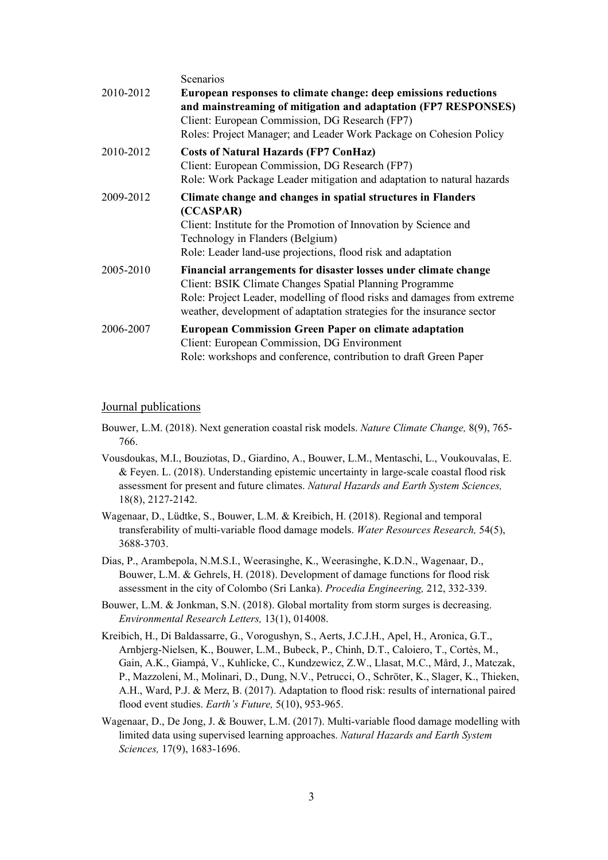|           | Scenarios                                                                                                                                                                                                                                                                       |
|-----------|---------------------------------------------------------------------------------------------------------------------------------------------------------------------------------------------------------------------------------------------------------------------------------|
| 2010-2012 | European responses to climate change: deep emissions reductions<br>and mainstreaming of mitigation and adaptation (FP7 RESPONSES)<br>Client: European Commission, DG Research (FP7)<br>Roles: Project Manager; and Leader Work Package on Cohesion Policy                       |
| 2010-2012 | <b>Costs of Natural Hazards (FP7 ConHaz)</b><br>Client: European Commission, DG Research (FP7)<br>Role: Work Package Leader mitigation and adaptation to natural hazards                                                                                                        |
| 2009-2012 | Climate change and changes in spatial structures in Flanders<br>(CCASPAR)<br>Client: Institute for the Promotion of Innovation by Science and<br>Technology in Flanders (Belgium)<br>Role: Leader land-use projections, flood risk and adaptation                               |
| 2005-2010 | Financial arrangements for disaster losses under climate change<br>Client: BSIK Climate Changes Spatial Planning Programme<br>Role: Project Leader, modelling of flood risks and damages from extreme<br>weather, development of adaptation strategies for the insurance sector |
| 2006-2007 | <b>European Commission Green Paper on climate adaptation</b><br>Client: European Commission, DG Environment<br>Role: workshops and conference, contribution to draft Green Paper                                                                                                |

#### Journal publications

- Bouwer, L.M. (2018). Next generation coastal risk models. *Nature Climate Change,* 8(9), 765- 766.
- Vousdoukas, M.I., Bouziotas, D., Giardino, A., Bouwer, L.M., Mentaschi, L., Voukouvalas, E. & Feyen. L. (2018). Understanding epistemic uncertainty in large-scale coastal flood risk assessment for present and future climates. *Natural Hazards and Earth System Sciences,*  18(8), 2127-2142.
- Wagenaar, D., Lüdtke, S., Bouwer, L.M. & Kreibich, H. (2018). Regional and temporal transferability of multi-variable flood damage models. *Water Resources Research,* 54(5), 3688-3703.
- Dias, P., Arambepola, N.M.S.I., Weerasinghe, K., Weerasinghe, K.D.N., Wagenaar, D., Bouwer, L.M. & Gehrels, H. (2018). Development of damage functions for flood risk assessment in the city of Colombo (Sri Lanka). *Procedia Engineering,* 212, 332-339.
- Bouwer, L.M. & Jonkman, S.N. (2018). Global mortality from storm surges is decreasing. *Environmental Research Letters,* 13(1), 014008.
- Kreibich, H., Di Baldassarre, G., Vorogushyn, S., Aerts, J.C.J.H., Apel, H., Aronica, G.T., Arnbjerg-Nielsen, K., Bouwer, L.M., Bubeck, P., Chinh, D.T., Caloiero, T., Cortès, M., Gain, A.K., Giampá, V., Kuhlicke, C., Kundzewicz, Z.W., Llasat, M.C., Mård, J., Matczak, P., Mazzoleni, M., Molinari, D., Dung, N.V., Petrucci, O., Schröter, K., Slager, K., Thieken, A.H., Ward, P.J. & Merz, B. (2017). Adaptation to flood risk: results of international paired flood event studies. *Earth's Future,* 5(10), 953-965.
- Wagenaar, D., De Jong, J. & Bouwer, L.M. (2017). Multi-variable flood damage modelling with limited data using supervised learning approaches. *Natural Hazards and Earth System Sciences,* 17(9), 1683-1696.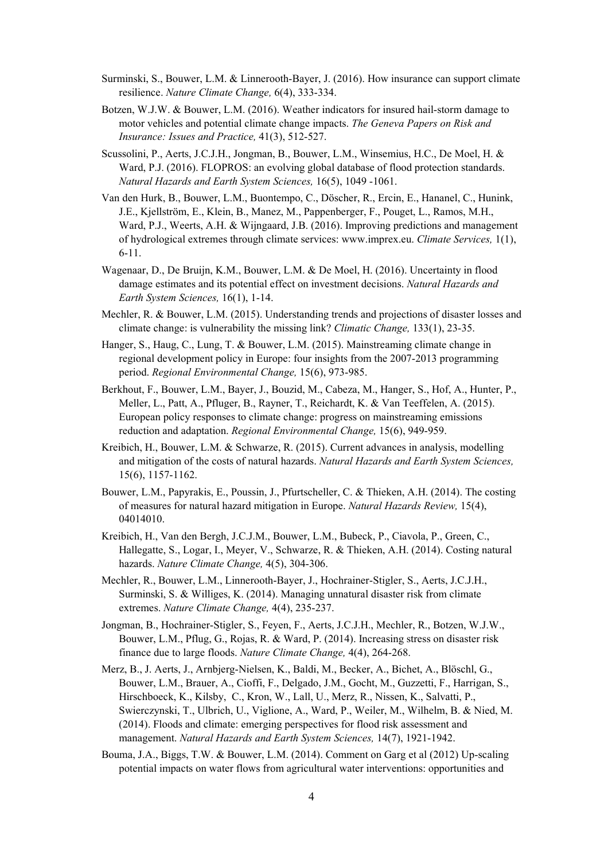- Surminski, S., Bouwer, L.M. & Linnerooth-Bayer, J. (2016). How insurance can support climate resilience. *Nature Climate Change,* 6(4), 333-334.
- Botzen, W.J.W. & Bouwer, L.M. (2016). Weather indicators for insured hail-storm damage to motor vehicles and potential climate change impacts. *The Geneva Papers on Risk and Insurance: Issues and Practice,* 41(3), 512-527.
- Scussolini, P., Aerts, J.C.J.H., Jongman, B., Bouwer, L.M., Winsemius, H.C., De Moel, H. & Ward, P.J. (2016). FLOPROS: an evolving global database of flood protection standards. *Natural Hazards and Earth System Sciences,* 16(5), 1049 -1061.
- Van den Hurk, B., Bouwer, L.M., Buontempo, C., Döscher, R., Ercin, E., Hananel, C., Hunink, J.E., Kjellström, E., Klein, B., Manez, M., Pappenberger, F., Pouget, L., Ramos, M.H., Ward, P.J., Weerts, A.H. & Wijngaard, J.B. (2016). Improving predictions and management of hydrological extremes through climate services: www.imprex.eu. *Climate Services,* 1(1), 6-11.
- Wagenaar, D., De Bruijn, K.M., Bouwer, L.M. & De Moel, H. (2016). Uncertainty in flood damage estimates and its potential effect on investment decisions. *Natural Hazards and Earth System Sciences,* 16(1), 1-14.
- Mechler, R. & Bouwer, L.M. (2015). Understanding trends and projections of disaster losses and climate change: is vulnerability the missing link? *Climatic Change,* 133(1), 23-35.
- Hanger, S., Haug, C., Lung, T. & Bouwer, L.M. (2015). Mainstreaming climate change in regional development policy in Europe: four insights from the 2007-2013 programming period. *Regional Environmental Change,* 15(6), 973-985.
- Berkhout, F., Bouwer, L.M., Bayer, J., Bouzid, M., Cabeza, M., Hanger, S., Hof, A., Hunter, P., Meller, L., Patt, A., Pfluger, B., Rayner, T., Reichardt, K. & Van Teeffelen, A. (2015). European policy responses to climate change: progress on mainstreaming emissions reduction and adaptation. *Regional Environmental Change,* 15(6), 949-959.
- Kreibich, H., Bouwer, L.M. & Schwarze, R. (2015). Current advances in analysis, modelling and mitigation of the costs of natural hazards. *Natural Hazards and Earth System Sciences,* 15(6), 1157-1162.
- Bouwer, L.M., Papyrakis, E., Poussin, J., Pfurtscheller, C. & Thieken, A.H. (2014). The costing of measures for natural hazard mitigation in Europe. *Natural Hazards Review,* 15(4), 04014010.
- Kreibich, H., Van den Bergh, J.C.J.M., Bouwer, L.M., Bubeck, P., Ciavola, P., Green, C., Hallegatte, S., Logar, I., Meyer, V., Schwarze, R. & Thieken, A.H. (2014). Costing natural hazards. *Nature Climate Change,* 4(5), 304-306.
- Mechler, R., Bouwer, L.M., Linnerooth-Bayer, J., Hochrainer-Stigler, S., Aerts, J.C.J.H., Surminski, S. & Williges, K. (2014). Managing unnatural disaster risk from climate extremes. *Nature Climate Change,* 4(4), 235-237.
- Jongman, B., Hochrainer-Stigler, S., Feyen, F., Aerts, J.C.J.H., Mechler, R., Botzen, W.J.W., Bouwer, L.M., Pflug, G., Rojas, R. & Ward, P. (2014). Increasing stress on disaster risk finance due to large floods. *Nature Climate Change,* 4(4), 264-268.
- Merz, B., J. Aerts, J., Arnbjerg-Nielsen, K., Baldi, M., Becker, A., Bichet, A., Blöschl, G., Bouwer, L.M., Brauer, A., Cioffi, F., Delgado, J.M., Gocht, M., Guzzetti, F., Harrigan, S., Hirschboeck, K., Kilsby, C., Kron, W., Lall, U., Merz, R., Nissen, K., Salvatti, P., Swierczynski, T., Ulbrich, U., Viglione, A., Ward, P., Weiler, M., Wilhelm, B. & Nied, M. (2014). Floods and climate: emerging perspectives for flood risk assessment and management. *Natural Hazards and Earth System Sciences,* 14(7), 1921-1942.
- Bouma, J.A., Biggs, T.W. & Bouwer, L.M. (2014). Comment on Garg et al (2012) Up-scaling potential impacts on water flows from agricultural water interventions: opportunities and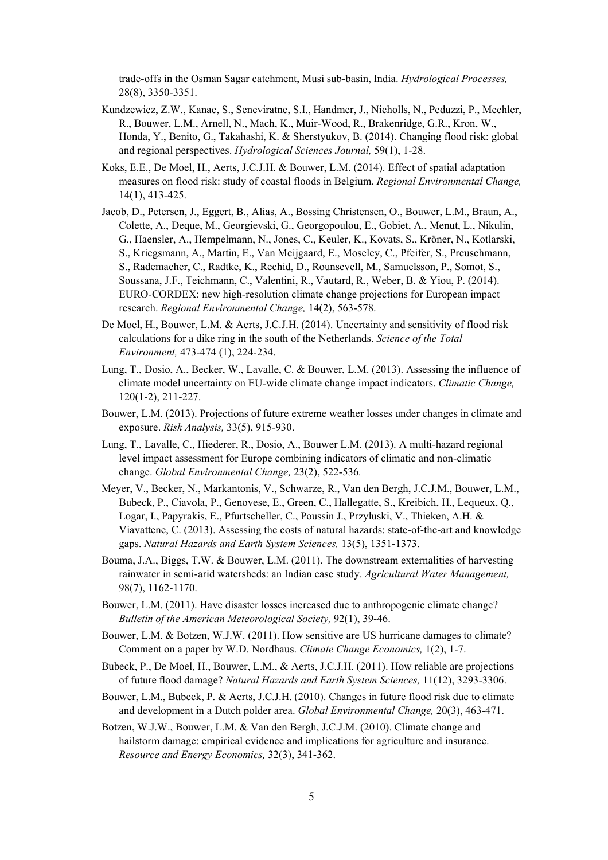trade-offs in the Osman Sagar catchment, Musi sub-basin, India. *Hydrological Processes,* 28(8), 3350-3351.

- Kundzewicz, Z.W., Kanae, S., Seneviratne, S.I., Handmer, J., Nicholls, N., Peduzzi, P., Mechler, R., Bouwer, L.M., Arnell, N., Mach, K., Muir-Wood, R., Brakenridge, G.R., Kron, W., Honda, Y., Benito, G., Takahashi, K. & Sherstyukov, B. (2014). Changing flood risk: global and regional perspectives. *Hydrological Sciences Journal,* 59(1), 1-28.
- Koks, E.E., De Moel, H., Aerts, J.C.J.H. & Bouwer, L.M. (2014). Effect of spatial adaptation measures on flood risk: study of coastal floods in Belgium. *Regional Environmental Change,*  14(1), 413-425.
- Jacob, D., Petersen, J., Eggert, B., Alias, A., Bossing Christensen, O., Bouwer, L.M., Braun, A., Colette, A., Deque, M., Georgievski, G., Georgopoulou, E., Gobiet, A., Menut, L., Nikulin, G., Haensler, A., Hempelmann, N., Jones, C., Keuler, K., Kovats, S., Kröner, N., Kotlarski, S., Kriegsmann, A., Martin, E., Van Meijgaard, E., Moseley, C., Pfeifer, S., Preuschmann, S., Rademacher, C., Radtke, K., Rechid, D., Rounsevell, M., Samuelsson, P., Somot, S., Soussana, J.F., Teichmann, C., Valentini, R., Vautard, R., Weber, B. & Yiou, P. (2014). EURO-CORDEX: new high-resolution climate change projections for European impact research. *Regional Environmental Change,* 14(2), 563-578.
- De Moel, H., Bouwer, L.M. & Aerts, J.C.J.H. (2014). Uncertainty and sensitivity of flood risk calculations for a dike ring in the south of the Netherlands. *Science of the Total Environment,* 473-474 (1), 224-234.
- Lung, T., Dosio, A., Becker, W., Lavalle, C. & Bouwer, L.M. (2013). Assessing the influence of climate model uncertainty on EU-wide climate change impact indicators. *Climatic Change,* 120(1-2), 211-227.
- Bouwer, L.M. (2013). Projections of future extreme weather losses under changes in climate and exposure. *Risk Analysis,* 33(5), 915-930.
- Lung, T., Lavalle, C., Hiederer, R., Dosio, A., Bouwer L.M. (2013). A multi-hazard regional level impact assessment for Europe combining indicators of climatic and non-climatic change. *Global Environmental Change,* 23(2), 522-536*.*
- Meyer, V., Becker, N., Markantonis, V., Schwarze, R., Van den Bergh, J.C.J.M., Bouwer, L.M., Bubeck, P., Ciavola, P., Genovese, E., Green, C., Hallegatte, S., Kreibich, H., Lequeux, Q., Logar, I., Papyrakis, E., Pfurtscheller, C., Poussin J., Przyluski, V., Thieken, A.H. & Viavattene, C. (2013). Assessing the costs of natural hazards: state-of-the-art and knowledge gaps. *Natural Hazards and Earth System Sciences,* 13(5), 1351-1373.
- Bouma, J.A., Biggs, T.W. & Bouwer, L.M. (2011). The downstream externalities of harvesting rainwater in semi-arid watersheds: an Indian case study. *Agricultural Water Management,* 98(7), 1162-1170.
- Bouwer, L.M. (2011). Have disaster losses increased due to anthropogenic climate change? *Bulletin of the American Meteorological Society,* 92(1), 39-46.
- Bouwer, L.M. & Botzen, W.J.W. (2011). How sensitive are US hurricane damages to climate? Comment on a paper by W.D. Nordhaus. *Climate Change Economics,* 1(2), 1-7.
- Bubeck, P., De Moel, H., Bouwer, L.M., & Aerts, J.C.J.H. (2011). How reliable are projections of future flood damage? *Natural Hazards and Earth System Sciences,* 11(12), 3293-3306.
- Bouwer, L.M., Bubeck, P. & Aerts, J.C.J.H. (2010). Changes in future flood risk due to climate and development in a Dutch polder area. *Global Environmental Change,* 20(3), 463-471.
- Botzen, W.J.W., Bouwer, L.M. & Van den Bergh, J.C.J.M. (2010). Climate change and hailstorm damage: empirical evidence and implications for agriculture and insurance. *Resource and Energy Economics,* 32(3), 341-362.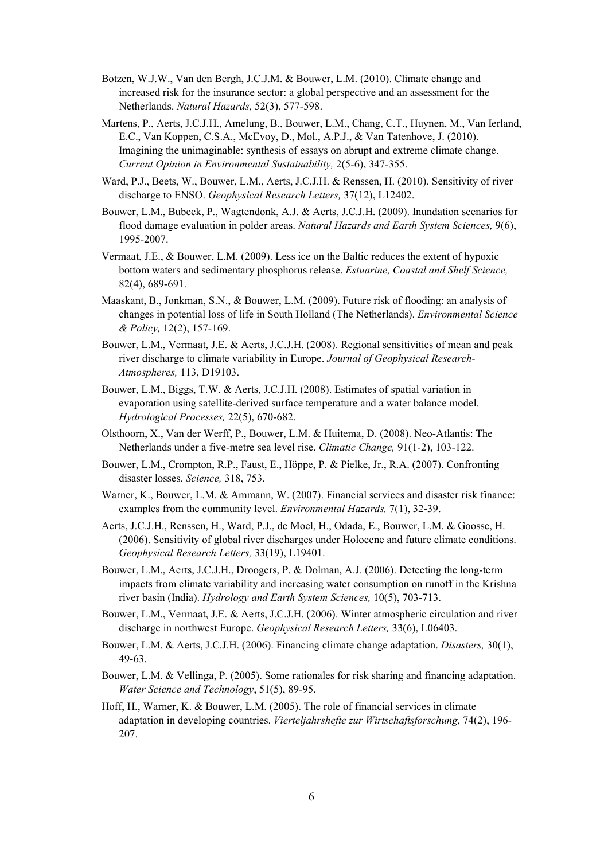- Botzen, W.J.W., Van den Bergh, J.C.J.M. & Bouwer, L.M. (2010). Climate change and increased risk for the insurance sector: a global perspective and an assessment for the Netherlands. *Natural Hazards,* 52(3), 577-598.
- Martens, P., Aerts, J.C.J.H., Amelung, B., Bouwer, L.M., Chang, C.T., Huynen, M., Van Ierland, E.C., Van Koppen, C.S.A., McEvoy, D., Mol., A.P.J., & Van Tatenhove, J. (2010). Imagining the unimaginable: synthesis of essays on abrupt and extreme climate change. *Current Opinion in Environmental Sustainability,* 2(5-6), 347-355.
- Ward, P.J., Beets, W., Bouwer, L.M., Aerts, J.C.J.H. & Renssen, H. (2010). Sensitivity of river discharge to ENSO. *Geophysical Research Letters,* 37(12), L12402.
- Bouwer, L.M., Bubeck, P., Wagtendonk, A.J. & Aerts, J.C.J.H. (2009). Inundation scenarios for flood damage evaluation in polder areas. *Natural Hazards and Earth System Sciences,* 9(6), 1995-2007.
- Vermaat, J.E., & Bouwer, L.M. (2009). Less ice on the Baltic reduces the extent of hypoxic bottom waters and sedimentary phosphorus release. *Estuarine, Coastal and Shelf Science,*  82(4), 689-691.
- Maaskant, B., Jonkman, S.N., & Bouwer, L.M. (2009). Future risk of flooding: an analysis of changes in potential loss of life in South Holland (The Netherlands). *Environmental Science & Policy,* 12(2), 157-169.
- Bouwer, L.M., Vermaat, J.E. & Aerts, J.C.J.H. (2008). Regional sensitivities of mean and peak river discharge to climate variability in Europe. *Journal of Geophysical Research-Atmospheres,* 113, D19103.
- Bouwer, L.M., Biggs, T.W. & Aerts, J.C.J.H. (2008). Estimates of spatial variation in evaporation using satellite-derived surface temperature and a water balance model. *Hydrological Processes,* 22(5), 670-682.
- Olsthoorn, X., Van der Werff, P., Bouwer, L.M. & Huitema, D. (2008). Neo-Atlantis: The Netherlands under a five-metre sea level rise. *Climatic Change,* 91(1-2), 103-122.
- Bouwer, L.M., Crompton, R.P., Faust, E., Höppe, P. & Pielke, Jr., R.A. (2007). Confronting disaster losses. *Science,* 318, 753.
- Warner, K., Bouwer, L.M. & Ammann, W. (2007). Financial services and disaster risk finance: examples from the community level. *Environmental Hazards,* 7(1), 32-39.
- Aerts, J.C.J.H., Renssen, H., Ward, P.J., de Moel, H., Odada, E., Bouwer, L.M. & Goosse, H. (2006). Sensitivity of global river discharges under Holocene and future climate conditions. *Geophysical Research Letters,* 33(19), L19401.
- Bouwer, L.M., Aerts, J.C.J.H., Droogers, P. & Dolman, A.J. (2006). Detecting the long-term impacts from climate variability and increasing water consumption on runoff in the Krishna river basin (India). *Hydrology and Earth System Sciences,* 10(5), 703-713.
- Bouwer, L.M., Vermaat, J.E. & Aerts, J.C.J.H. (2006). Winter atmospheric circulation and river discharge in northwest Europe. *Geophysical Research Letters,* 33(6), L06403.
- Bouwer, L.M. & Aerts, J.C.J.H. (2006). Financing climate change adaptation. *Disasters,* 30(1), 49-63.
- Bouwer, L.M. & Vellinga, P. (2005). Some rationales for risk sharing and financing adaptation. *Water Science and Technology*, 51(5), 89-95.
- Hoff, H., Warner, K. & Bouwer, L.M. (2005). The role of financial services in climate adaptation in developing countries. *Vierteljahrshefte zur Wirtschaftsforschung,* 74(2), 196- 207.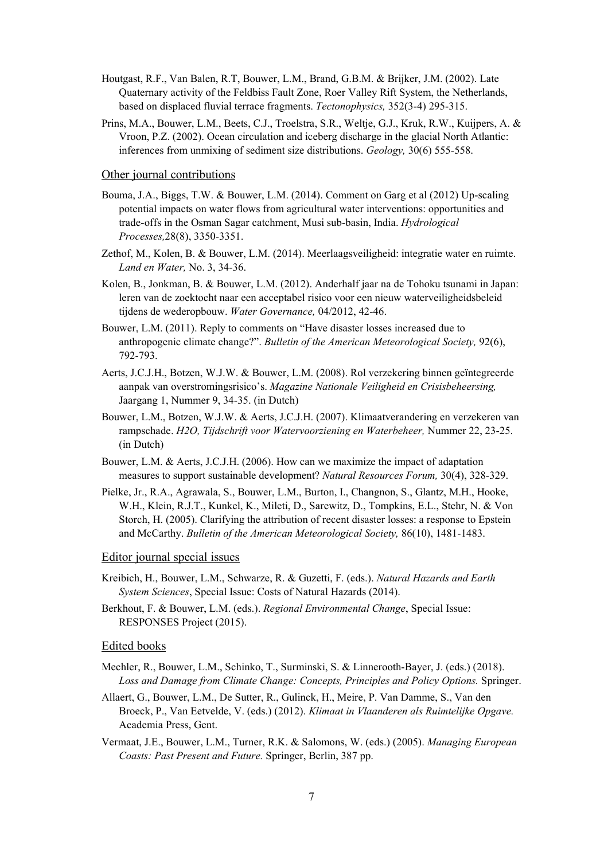- Houtgast, R.F., Van Balen, R.T, Bouwer, L.M., Brand, G.B.M. & Brijker, J.M. (2002). Late Quaternary activity of the Feldbiss Fault Zone, Roer Valley Rift System, the Netherlands, based on displaced fluvial terrace fragments. *Tectonophysics,* 352(3-4) 295-315.
- Prins, M.A., Bouwer, L.M., Beets, C.J., Troelstra, S.R., Weltje, G.J., Kruk, R.W., Kuijpers, A. & Vroon, P.Z. (2002). Ocean circulation and iceberg discharge in the glacial North Atlantic: inferences from unmixing of sediment size distributions. *Geology,* 30(6) 555-558.

#### Other journal contributions

- Bouma, J.A., Biggs, T.W. & Bouwer, L.M. (2014). Comment on Garg et al (2012) Up-scaling potential impacts on water flows from agricultural water interventions: opportunities and trade-offs in the Osman Sagar catchment, Musi sub-basin, India. *Hydrological Processes,*28(8), 3350-3351.
- Zethof, M., Kolen, B. & Bouwer, L.M. (2014). Meerlaagsveiligheid: integratie water en ruimte. *Land en Water,* No. 3, 34-36.
- Kolen, B., Jonkman, B. & Bouwer, L.M. (2012). Anderhalf jaar na de Tohoku tsunami in Japan: leren van de zoektocht naar een acceptabel risico voor een nieuw waterveiligheidsbeleid tijdens de wederopbouw. *Water Governance,* 04/2012, 42-46.
- Bouwer, L.M. (2011). Reply to comments on "Have disaster losses increased due to anthropogenic climate change?". *Bulletin of the American Meteorological Society,* 92(6), 792-793.
- Aerts, J.C.J.H., Botzen, W.J.W. & Bouwer, L.M. (2008). Rol verzekering binnen geïntegreerde aanpak van overstromingsrisico's. *Magazine Nationale Veiligheid en Crisisbeheersing,*  Jaargang 1, Nummer 9, 34-35. (in Dutch)
- Bouwer, L.M., Botzen, W.J.W. & Aerts, J.C.J.H. (2007). Klimaatverandering en verzekeren van rampschade. *H2O, Tijdschrift voor Watervoorziening en Waterbeheer,* Nummer 22, 23-25. (in Dutch)
- Bouwer, L.M. & Aerts, J.C.J.H. (2006). How can we maximize the impact of adaptation measures to support sustainable development? *Natural Resources Forum,* 30(4), 328-329.
- Pielke, Jr., R.A., Agrawala, S., Bouwer, L.M., Burton, I., Changnon, S., Glantz, M.H., Hooke, W.H., Klein, R.J.T., Kunkel, K., Mileti, D., Sarewitz, D., Tompkins, E.L., Stehr, N. & Von Storch, H. (2005). Clarifying the attribution of recent disaster losses: a response to Epstein and McCarthy. *Bulletin of the American Meteorological Society,* 86(10), 1481-1483.

Editor journal special issues

- Kreibich, H., Bouwer, L.M., Schwarze, R. & Guzetti, F. (eds.). *Natural Hazards and Earth System Sciences*, Special Issue: Costs of Natural Hazards (2014).
- Berkhout, F. & Bouwer, L.M. (eds.). *Regional Environmental Change*, Special Issue: RESPONSES Project (2015).

#### Edited books

- Mechler, R., Bouwer, L.M., Schinko, T., Surminski, S. & Linnerooth-Bayer, J. (eds.) (2018). *Loss and Damage from Climate Change: Concepts, Principles and Policy Options.* Springer.
- Allaert, G., Bouwer, L.M., De Sutter, R., Gulinck, H., Meire, P. Van Damme, S., Van den Broeck, P., Van Eetvelde, V. (eds.) (2012). *Klimaat in Vlaanderen als Ruimtelijke Opgave.* Academia Press, Gent.
- Vermaat, J.E., Bouwer, L.M., Turner, R.K. & Salomons, W. (eds.) (2005). *Managing European Coasts: Past Present and Future.* Springer, Berlin, 387 pp.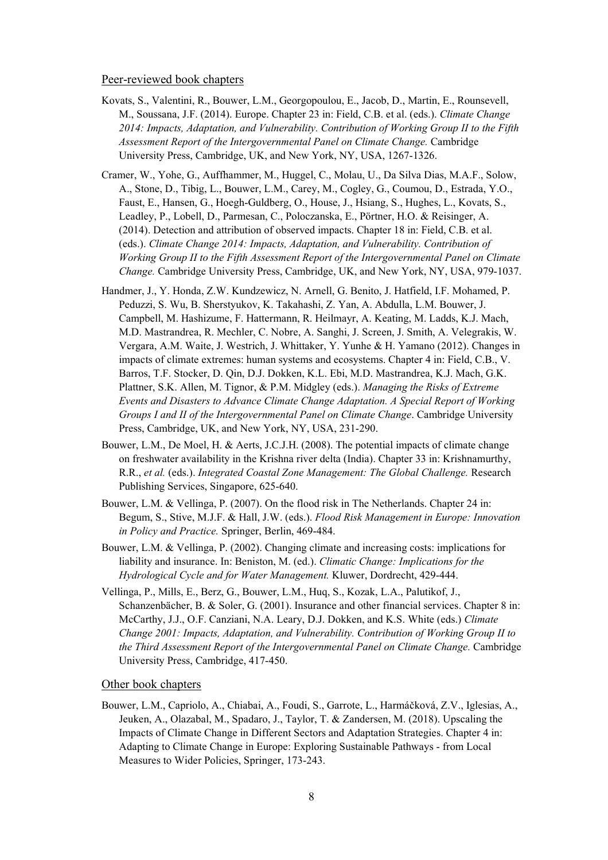#### Peer-reviewed book chapters

- Kovats, S., Valentini, R., Bouwer, L.M., Georgopoulou, E., Jacob, D., Martin, E., Rounsevell, M., Soussana, J.F. (2014). Europe. Chapter 23 in: Field, C.B. et al. (eds.). *Climate Change 2014: Impacts, Adaptation, and Vulnerability. Contribution of Working Group II to the Fifth Assessment Report of the Intergovernmental Panel on Climate Change.* Cambridge University Press, Cambridge, UK, and New York, NY, USA, 1267-1326.
- Cramer, W., Yohe, G., Auffhammer, M., Huggel, C., Molau, U., Da Silva Dias, M.A.F., Solow, A., Stone, D., Tibig, L., Bouwer, L.M., Carey, M., Cogley, G., Coumou, D., Estrada, Y.O., Faust, E., Hansen, G., Hoegh-Guldberg, O., House, J., Hsiang, S., Hughes, L., Kovats, S., Leadley, P., Lobell, D., Parmesan, C., Poloczanska, E., Pörtner, H.O. & Reisinger, A. (2014). Detection and attribution of observed impacts. Chapter 18 in: Field, C.B. et al. (eds.). *Climate Change 2014: Impacts, Adaptation, and Vulnerability. Contribution of Working Group II to the Fifth Assessment Report of the Intergovernmental Panel on Climate Change.* Cambridge University Press, Cambridge, UK, and New York, NY, USA, 979-1037.
- Handmer, J., Y. Honda, Z.W. Kundzewicz, N. Arnell, G. Benito, J. Hatfield, I.F. Mohamed, P. Peduzzi, S. Wu, B. Sherstyukov, K. Takahashi, Z. Yan, A. Abdulla, L.M. Bouwer, J. Campbell, M. Hashizume, F. Hattermann, R. Heilmayr, A. Keating, M. Ladds, K.J. Mach, M.D. Mastrandrea, R. Mechler, C. Nobre, A. Sanghi, J. Screen, J. Smith, A. Velegrakis, W. Vergara, A.M. Waite, J. Westrich, J. Whittaker, Y. Yunhe & H. Yamano (2012). Changes in impacts of climate extremes: human systems and ecosystems. Chapter 4 in: Field, C.B., V. Barros, T.F. Stocker, D. Qin, D.J. Dokken, K.L. Ebi, M.D. Mastrandrea, K.J. Mach, G.K. Plattner, S.K. Allen, M. Tignor, & P.M. Midgley (eds.). *Managing the Risks of Extreme Events and Disasters to Advance Climate Change Adaptation. A Special Report of Working Groups I and II of the Intergovernmental Panel on Climate Change*. Cambridge University Press, Cambridge, UK, and New York, NY, USA, 231-290.
- Bouwer, L.M., De Moel, H. & Aerts, J.C.J.H. (2008). The potential impacts of climate change on freshwater availability in the Krishna river delta (India). Chapter 33 in: Krishnamurthy, R.R., *et al.* (eds.). *Integrated Coastal Zone Management: The Global Challenge.* Research Publishing Services, Singapore, 625-640.
- Bouwer, L.M. & Vellinga, P. (2007). On the flood risk in The Netherlands. Chapter 24 in: Begum, S., Stive, M.J.F. & Hall, J.W. (eds.). *Flood Risk Management in Europe: Innovation in Policy and Practice.* Springer, Berlin, 469-484.
- Bouwer, L.M. & Vellinga, P. (2002). Changing climate and increasing costs: implications for liability and insurance. In: Beniston, M. (ed.). *Climatic Change: Implications for the Hydrological Cycle and for Water Management.* Kluwer, Dordrecht, 429-444.
- Vellinga, P., Mills, E., Berz, G., Bouwer, L.M., Huq, S., Kozak, L.A., Palutikof, J., Schanzenbächer, B. & Soler, G. (2001). Insurance and other financial services. Chapter 8 in: McCarthy, J.J., O.F. Canziani, N.A. Leary, D.J. Dokken, and K.S. White (eds.) *Climate Change 2001: Impacts, Adaptation, and Vulnerability. Contribution of Working Group II to the Third Assessment Report of the Intergovernmental Panel on Climate Change.* Cambridge University Press, Cambridge, 417-450.

#### Other book chapters

Bouwer, L.M., Capriolo, A., Chiabai, A., Foudi, S., Garrote, L., Harmáčková, Z.V., Iglesias, A., Jeuken, A., Olazabal, M., Spadaro, J., Taylor, T. & Zandersen, M. (2018). Upscaling the Impacts of Climate Change in Different Sectors and Adaptation Strategies. Chapter 4 in: Adapting to Climate Change in Europe: Exploring Sustainable Pathways - from Local Measures to Wider Policies, Springer, 173-243.